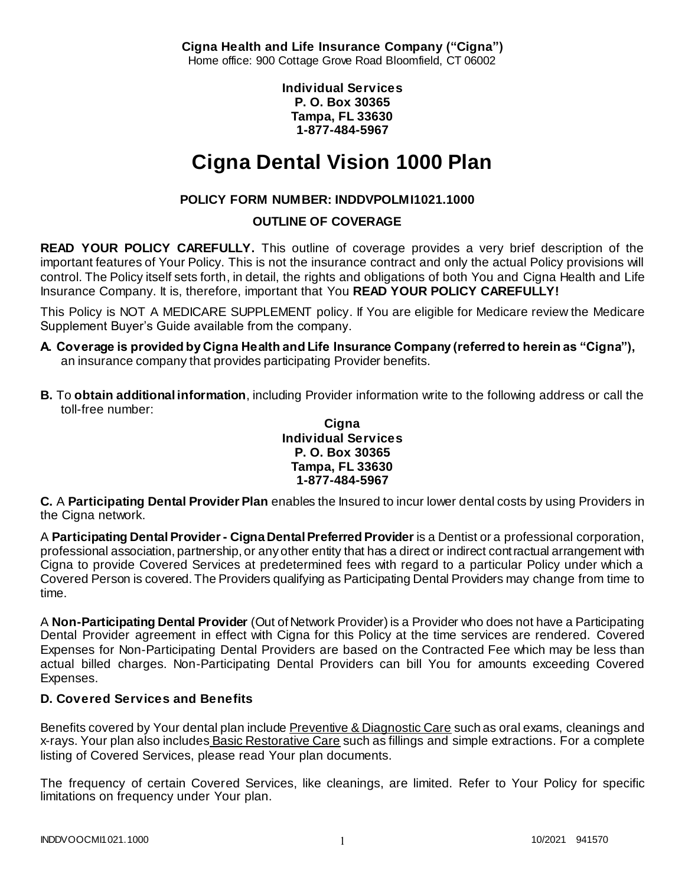**Cigna Health and Life Insurance Company ("Cigna")** Home office: 900 Cottage Grove Road Bloomfield, CT 06002

> **Individual Services P. O. Box 30365 Tampa, FL 33630 1-877-484-5967**

# **Cigna Dental Vision 1000 Plan**

# **POLICY FORM NUMBER: INDDVPOLMI1021.1000**

# **OUTLINE OF COVERAGE**

**READ YOUR POLICY CAREFULLY.** This outline of coverage provides a very brief description of the important features of Your Policy. This is not the insurance contract and only the actual Policy provisions will control. The Policy itself sets forth, in detail, the rights and obligations of both You and Cigna Health and Life Insurance Company. It is, therefore, important that You **READ YOUR POLICY CAREFULLY!** 

This Policy is NOT A MEDICARE SUPPLEMENT policy. If You are eligible for Medicare review the Medicare Supplement Buyer's Guide available from the company.

- **A. Coverage is provided by Cigna Health and Life Insurance Company (referred to herein as "Cigna"),**  an insurance company that provides participating Provider benefits.
- **B.** To **obtain additional information**, including Provider information write to the following address or call the toll-free number:

#### **Cigna Individual Services P. O. Box 30365 Tampa, FL 33630 1-877-484-5967**

**C.** A **Participating Dental Provider Plan** enables the Insured to incur lower dental costs by using Providers in the Cigna network.

A **Participating Dental Provider - Cigna Dental Preferred Provider** is a Dentist or a professional corporation, professional association, partnership, or any other entity that has a direct or indirect contractual arrangement with Cigna to provide Covered Services at predetermined fees with regard to a particular Policy under which a Covered Person is covered. The Providers qualifying as Participating Dental Providers may change from time to time.

A **Non-Participating Dental Provider** (Out of Network Provider) is a Provider who does not have a Participating Dental Provider agreement in effect with Cigna for this Policy at the time services are rendered. Covered Expenses for Non-Participating Dental Providers are based on the Contracted Fee which may be less than actual billed charges. Non-Participating Dental Providers can bill You for amounts exceeding Covered Expenses.

## **D. Covered Services and Benefits**

Benefits covered by Your dental plan include Preventive & Diagnostic Care such as oral exams, cleanings and x-rays. Your plan also includes Basic Restorative Care such as fillings and simple extractions. For a complete listing of Covered Services, please read Your plan documents.

The frequency of certain Covered Services, like cleanings, are limited. Refer to Your Policy for specific limitations on frequency under Your plan.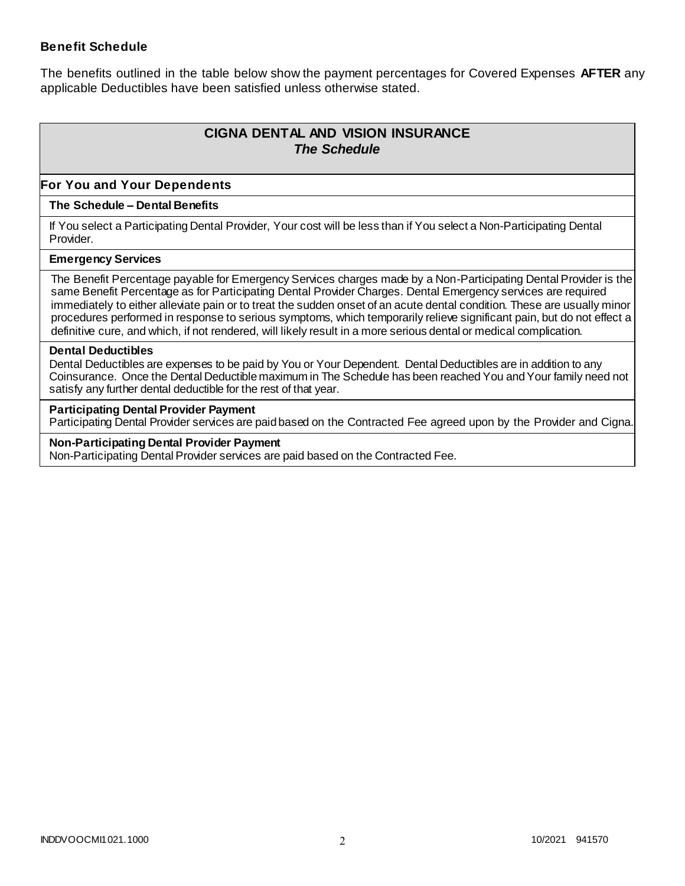### **Benefit Schedule**

The benefits outlined in the table below show the payment percentages for Covered Expenses **AFTER** any applicable Deductibles have been satisfied unless otherwise stated.

# **CIGNA DENTAL AND VISION INSURANCE** *The Schedule*

### **For You and Your Dependents**

#### **The Schedule – Dental Benefits**

If You select a Participating Dental Provider, Your cost will be less than if You select a Non-Participating Dental Provider.

#### **Emergency Services**

The Benefit Percentage payable for Emergency Services charges made by a Non-Participating Dental Provider is the same Benefit Percentage as for Participating Dental Provider Charges. Dental Emergency services are required immediately to either alleviate pain or to treat the sudden onset of an acute dental condition. These are usually minor procedures performed in response to serious symptoms, which temporarily relieve significant pain, but do not effect a definitive cure, and which, if not rendered, will likely result in a more serious dental or medical complication.

#### **Dental Deductibles**

Dental Deductibles are expenses to be paid by You or Your Dependent. Dental Deductibles are in addition to any Coinsurance. Once the Dental Deductible maximum in The Schedule has been reached You and Your family need not satisfy any further dental deductible for the rest of that year.

#### **Participating Dental Provider Payment**

Participating Dental Provider services are paid based on the Contracted Fee agreed upon by the Provider and Cigna.

**Non-Participating Dental Provider Payment** Non-Participating Dental Provider services are paid based on the Contracted Fee.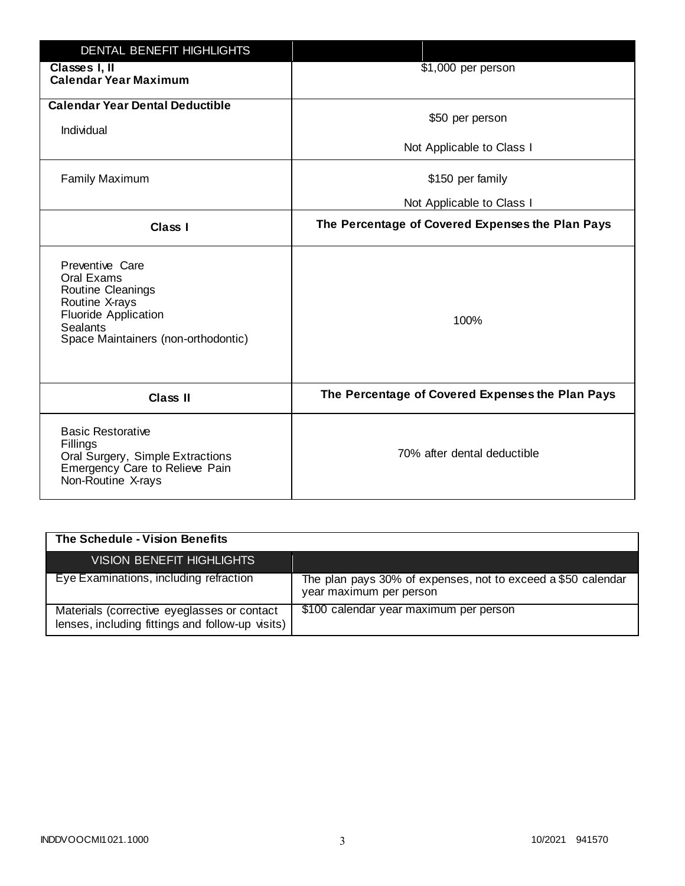| <b>DENTAL BENEFIT HIGHLIGHTS</b>                                                                                                                              |                                                  |
|---------------------------------------------------------------------------------------------------------------------------------------------------------------|--------------------------------------------------|
| Classes I, II<br><b>Calendar Year Maximum</b>                                                                                                                 | \$1,000 per person                               |
| <b>Calendar Year Dental Deductible</b><br>Individual                                                                                                          | \$50 per person                                  |
|                                                                                                                                                               | Not Applicable to Class I                        |
| <b>Family Maximum</b>                                                                                                                                         | \$150 per family                                 |
|                                                                                                                                                               | Not Applicable to Class I                        |
| <b>Class I</b>                                                                                                                                                | The Percentage of Covered Expenses the Plan Pays |
| Preventive Care<br>Oral Exams<br>Routine Cleanings<br>Routine X-rays<br><b>Fluoride Application</b><br><b>Sealants</b><br>Space Maintainers (non-orthodontic) | 100%                                             |
| <b>Class II</b>                                                                                                                                               | The Percentage of Covered Expenses the Plan Pays |
| <b>Basic Restorative</b><br>Fillings<br>Oral Surgery, Simple Extractions<br>Emergency Care to Relieve Pain<br>Non-Routine X-rays                              | 70% after dental deductible                      |

| The Schedule - Vision Benefits                                                                  |                                                                                         |
|-------------------------------------------------------------------------------------------------|-----------------------------------------------------------------------------------------|
| VISION BENEFIT HIGHLIGHTS                                                                       |                                                                                         |
| Eye Examinations, including refraction                                                          | The plan pays 30% of expenses, not to exceed a \$50 calendar<br>year maximum per person |
| Materials (corrective eyeglasses or contact<br>lenses, including fittings and follow-up visits) | \$100 calendar year maximum per person                                                  |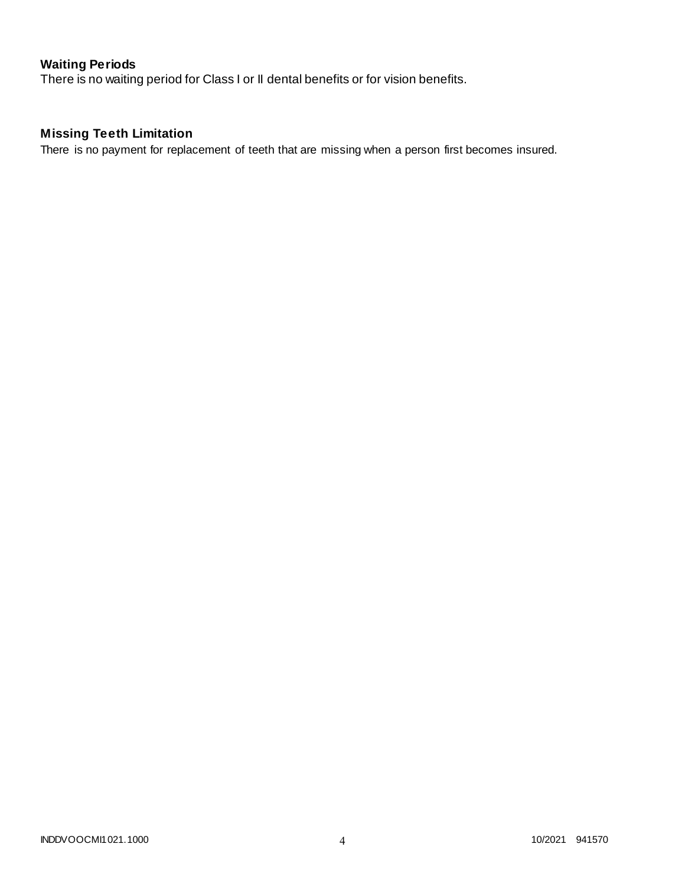# **Waiting Periods**

There is no waiting period for Class I or II dental benefits or for vision benefits.

# **Missing Teeth Limitation**

There is no payment for replacement of teeth that are missing when a person first becomes insured.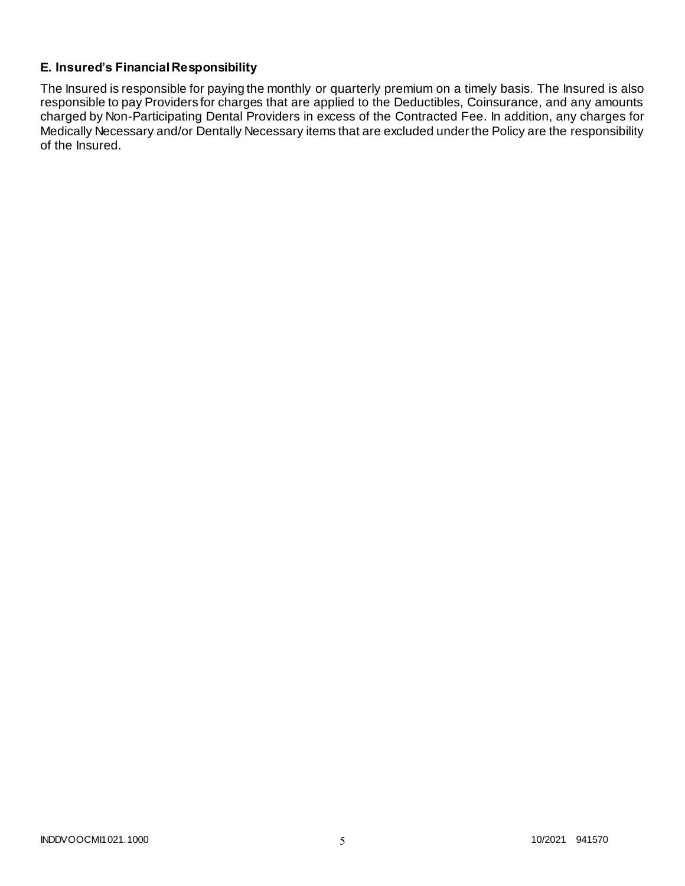## **E. Insured's Financial Responsibility**

The Insured is responsible for paying the monthly or quarterly premium on a timely basis. The Insured is also responsible to pay Providers for charges that are applied to the Deductibles, Coinsurance, and any amounts charged by Non-Participating Dental Providers in excess of the Contracted Fee. In addition, any charges for Medically Necessary and/or Dentally Necessary items that are excluded under the Policy are the responsibility of the Insured.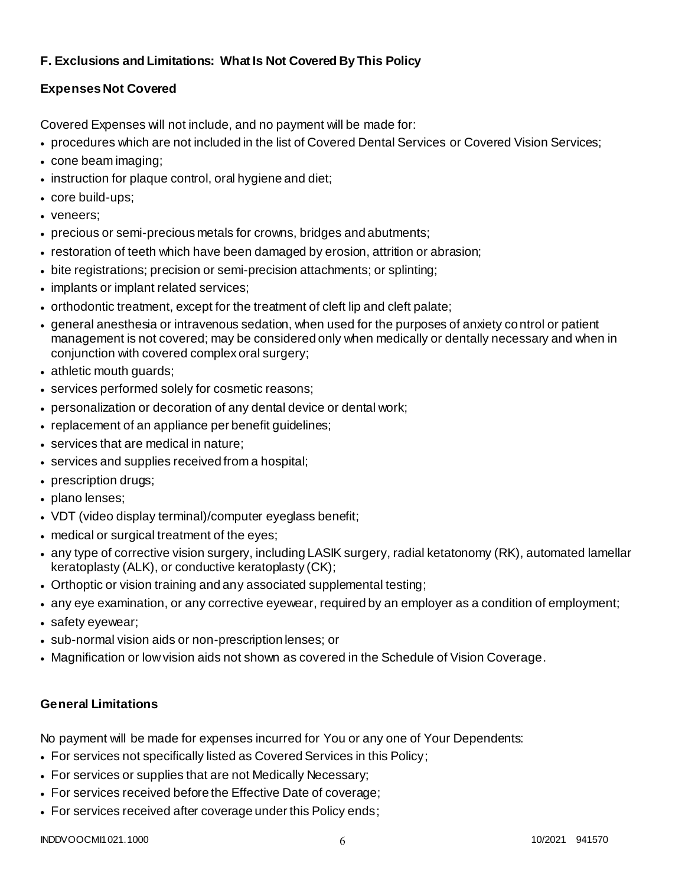# **F. Exclusions and Limitations: What Is Not Covered By This Policy**

# **Expenses Not Covered**

Covered Expenses will not include, and no payment will be made for:

- procedures which are not included in the list of Covered Dental Services or Covered Vision Services;
- cone beam imaging;
- instruction for plaque control, oral hygiene and diet;
- core build-ups;
- veneers;
- precious or semi-precious metals for crowns, bridges and abutments;
- restoration of teeth which have been damaged by erosion, attrition or abrasion;
- bite registrations; precision or semi-precision attachments; or splinting;
- implants or implant related services;
- orthodontic treatment, except for the treatment of cleft lip and cleft palate;
- general anesthesia or intravenous sedation, when used for the purposes of anxiety control or patient management is not covered; may be considered only when medically or dentally necessary and when in conjunction with covered complex oral surgery;
- athletic mouth guards;
- services performed solely for cosmetic reasons;
- personalization or decoration of any dental device or dental work;
- replacement of an appliance per benefit quidelines;
- services that are medical in nature;
- services and supplies received from a hospital;
- prescription drugs;
- plano lenses;
- VDT (video display terminal)/computer eyeglass benefit;
- medical or surgical treatment of the eyes;
- any type of corrective vision surgery, including LASIK surgery, radial ketatonomy (RK), automated lamellar keratoplasty (ALK), or conductive keratoplasty (CK);
- Orthoptic or vision training and any associated supplemental testing;
- any eye examination, or any corrective eyewear, required by an employer as a condition of employment;
- safety eyewear;
- sub-normal vision aids or non-prescription lenses; or
- Magnification or low vision aids not shown as covered in the Schedule of Vision Coverage.

# **General Limitations**

No payment will be made for expenses incurred for You or any one of Your Dependents:

- For services not specifically listed as Covered Services in this Policy;
- For services or supplies that are not Medically Necessary;
- For services received before the Effective Date of coverage;
- For services received after coverage under this Policy ends;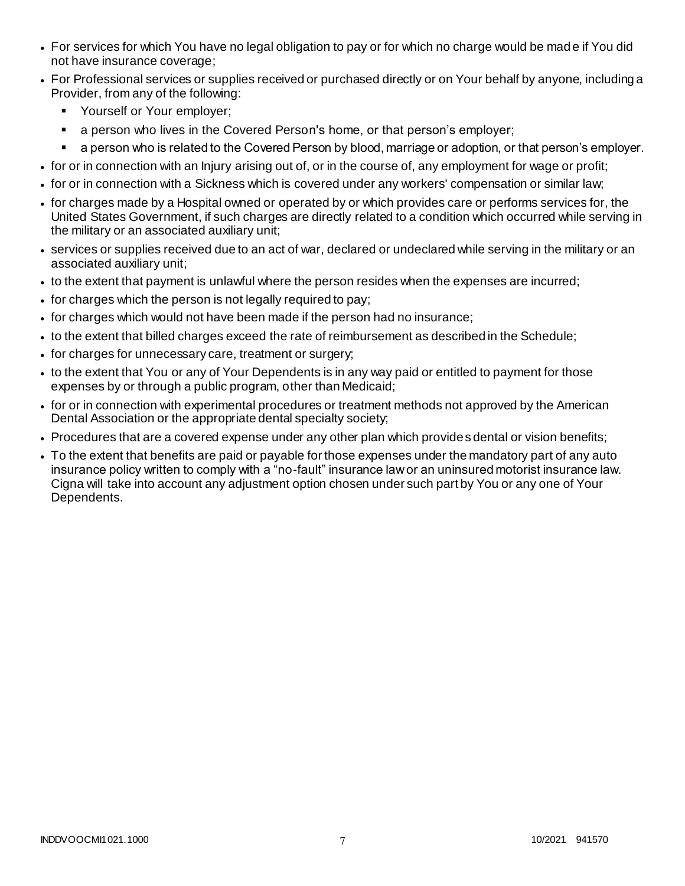- For services for which You have no legal obligation to pay or for which no charge would be mad e if You did not have insurance coverage;
- For Professional services or supplies received or purchased directly or on Your behalf by anyone, including a Provider, from any of the following:
	- **•** Yourself or Your employer;
	- **a** person who lives in the Covered Person's home, or that person's employer;
	- a person who is related to the Covered Person by blood, marriage or adoption, or that person's employer.
- for or in connection with an Injury arising out of, or in the course of, any employment for wage or profit;
- for or in connection with a Sickness which is covered under any workers' compensation or similar law;
- for charges made by a Hospital owned or operated by or which provides care or performs services for, the United States Government, if such charges are directly related to a condition which occurred while serving in the military or an associated auxiliary unit;
- services or supplies received due to an act of war, declared or undeclared while serving in the military or an associated auxiliary unit;
- to the extent that payment is unlawful where the person resides when the expenses are incurred;
- for charges which the person is not legally required to pay;
- for charges which would not have been made if the person had no insurance;
- to the extent that billed charges exceed the rate of reimbursement as described in the Schedule;
- for charges for unnecessary care, treatment or surgery;
- to the extent that You or any of Your Dependents is in any way paid or entitled to payment for those expenses by or through a public program, other than Medicaid;
- for or in connection with experimental procedures or treatment methods not approved by the American Dental Association or the appropriate dental specialty society;
- Procedures that are a covered expense under any other plan which provides dental or vision benefits;
- To the extent that benefits are paid or payable for those expenses under the mandatory part of any auto insurance policy written to comply with a "no-fault" insurance law or an uninsured motorist insurance law. Cigna will take into account any adjustment option chosen under such part by You or any one of Your Dependents.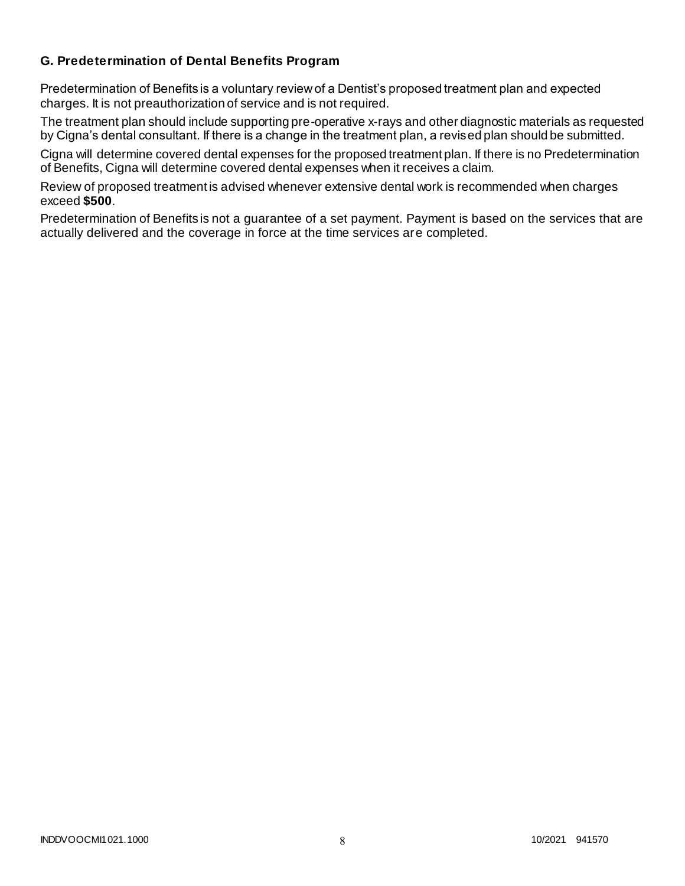### **G. Predetermination of Dental Benefits Program**

Predetermination of Benefits is a voluntary review of a Dentist's proposed treatment plan and expected charges. It is not preauthorization of service and is not required.

The treatment plan should include supporting pre-operative x-rays and other diagnostic materials as requested by Cigna's dental consultant. If there is a change in the treatment plan, a revised plan should be submitted.

Cigna will determine covered dental expenses for the proposed treatment plan. If there is no Predetermination of Benefits, Cigna will determine covered dental expenses when it receives a claim.

Review of proposed treatment is advised whenever extensive dental work is recommended when charges exceed **\$500**.

Predetermination of Benefits is not a guarantee of a set payment. Payment is based on the services that are actually delivered and the coverage in force at the time services are completed.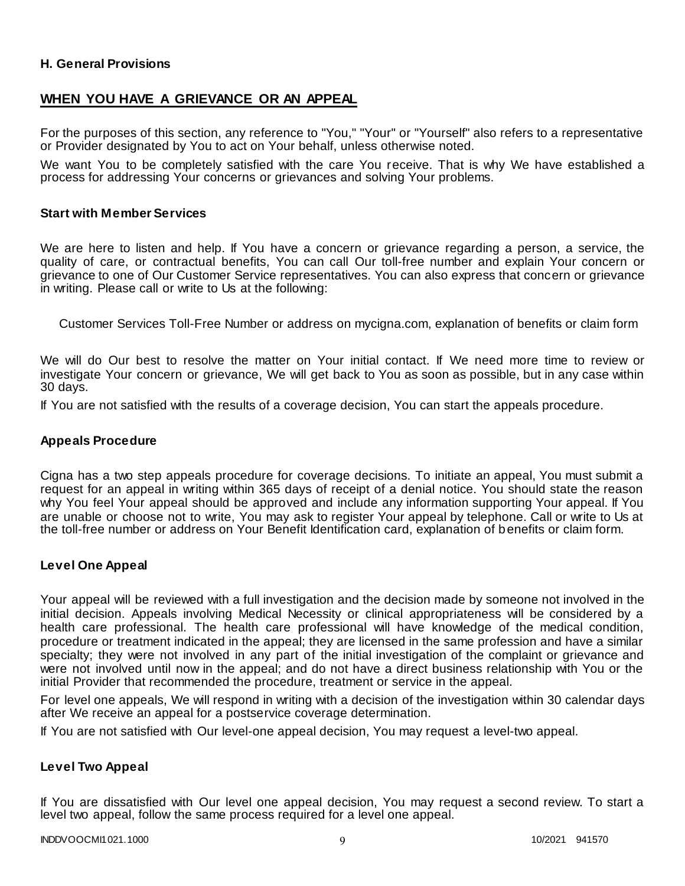### **H. General Provisions**

### **WHEN YOU HAVE A GRIEVANCE OR AN APPEAL**

For the purposes of this section, any reference to "You," "Your" or "Yourself" also refers to a representative or Provider designated by You to act on Your behalf, unless otherwise noted.

We want You to be completely satisfied with the care You receive. That is why We have established a process for addressing Your concerns or grievances and solving Your problems.

#### **Start with Member Services**

We are here to listen and help. If You have a concern or grievance regarding a person, a service, the quality of care, or contractual benefits, You can call Our toll-free number and explain Your concern or grievance to one of Our Customer Service representatives. You can also express that concern or grievance in writing. Please call or write to Us at the following:

Customer Services Toll-Free Number or address on mycigna.com, explanation of benefits or claim form

We will do Our best to resolve the matter on Your initial contact. If We need more time to review or investigate Your concern or grievance, We will get back to You as soon as possible, but in any case within 30 days.

If You are not satisfied with the results of a coverage decision, You can start the appeals procedure.

#### **Appeals Procedure**

Cigna has a two step appeals procedure for coverage decisions. To initiate an appeal, You must submit a request for an appeal in writing within 365 days of receipt of a denial notice. You should state the reason why You feel Your appeal should be approved and include any information supporting Your appeal. If You are unable or choose not to write, You may ask to register Your appeal by telephone. Call or write to Us at the toll-free number or address on Your Benefit Identification card, explanation of benefits or claim form.

#### **Level One Appeal**

Your appeal will be reviewed with a full investigation and the decision made by someone not involved in the initial decision. Appeals involving Medical Necessity or clinical appropriateness will be considered by a health care professional. The health care professional will have knowledge of the medical condition, procedure or treatment indicated in the appeal; they are licensed in the same profession and have a similar specialty; they were not involved in any part of the initial investigation of the complaint or grievance and were not involved until now in the appeal; and do not have a direct business relationship with You or the initial Provider that recommended the procedure, treatment or service in the appeal.

For level one appeals, We will respond in writing with a decision of the investigation within 30 calendar days after We receive an appeal for a postservice coverage determination.

If You are not satisfied with Our level-one appeal decision, You may request a level-two appeal.

#### **Level Two Appeal**

If You are dissatisfied with Our level one appeal decision, You may request a second review. To start a level two appeal, follow the same process required for a level one appeal.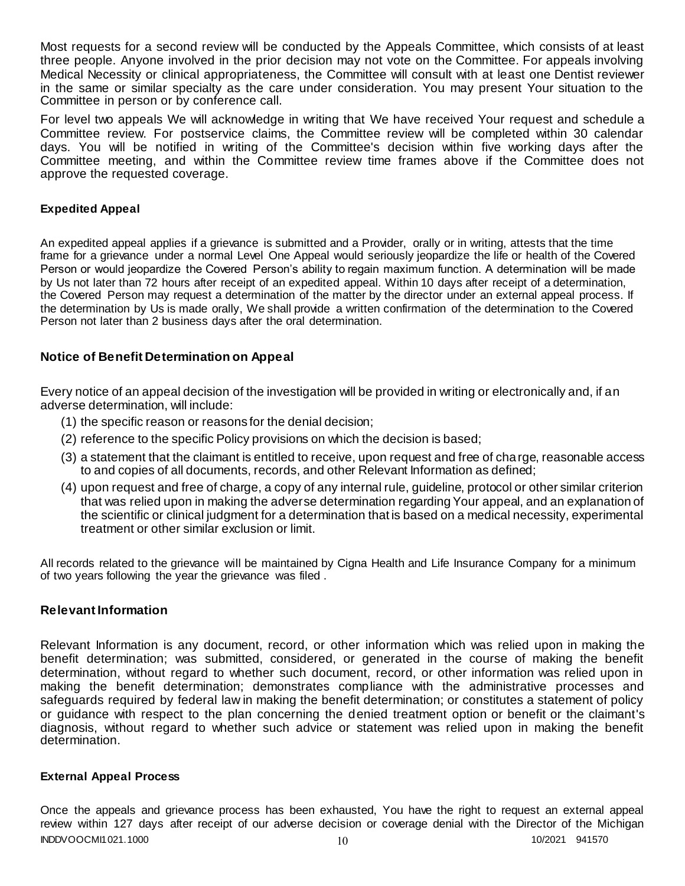Most requests for a second review will be conducted by the Appeals Committee, which consists of at least three people. Anyone involved in the prior decision may not vote on the Committee. For appeals involving Medical Necessity or clinical appropriateness, the Committee will consult with at least one Dentist reviewer in the same or similar specialty as the care under consideration. You may present Your situation to the Committee in person or by conference call.

For level two appeals We will acknowledge in writing that We have received Your request and schedule a Committee review. For postservice claims, the Committee review will be completed within 30 calendar days. You will be notified in writing of the Committee's decision within five working days after the Committee meeting, and within the Committee review time frames above if the Committee does not approve the requested coverage.

### **Expedited Appeal**

An expedited appeal applies if a grievance is submitted and a Provider, orally or in writing, attests that the time frame for a grievance under a normal Level One Appeal would seriously jeopardize the life or health of the Covered Person or would jeopardize the Covered Person's ability to regain maximum function. A determination will be made by Us not later than 72 hours after receipt of an expedited appeal. Within 10 days after receipt of a determination, the Covered Person may request a determination of the matter by the director under an external appeal process. If the determination by Us is made orally, We shall provide a written confirmation of the determination to the Covered Person not later than 2 business days after the oral determination.

#### **Notice of Benefit Determination on Appeal**

Every notice of an appeal decision of the investigation will be provided in writing or electronically and, if an adverse determination, will include:

- (1) the specific reason or reasons for the denial decision;
- (2) reference to the specific Policy provisions on which the decision is based;
- (3) a statement that the claimant is entitled to receive, upon request and free of charge, reasonable access to and copies of all documents, records, and other Relevant Information as defined;
- (4) upon request and free of charge, a copy of any internal rule, guideline, protocol or other similar criterion that was relied upon in making the adverse determination regarding Your appeal, and an explanation of the scientific or clinical judgment for a determination that is based on a medical necessity, experimental treatment or other similar exclusion or limit.

All records related to the grievance will be maintained by Cigna Health and Life Insurance Company for a minimum of two years following the year the grievance was filed .

### **Relevant Information**

Relevant Information is any document, record, or other information which was relied upon in making the benefit determination; was submitted, considered, or generated in the course of making the benefit determination, without regard to whether such document, record, or other information was relied upon in making the benefit determination; demonstrates compliance with the administrative processes and safeguards required by federal law in making the benefit determination; or constitutes a statement of policy or guidance with respect to the plan concerning the denied treatment option or benefit or the claimant's diagnosis, without regard to whether such advice or statement was relied upon in making the benefit determination.

#### **External Appeal Process**

INDDVOOCMI1021.1000 10 10/2021 941570 Once the appeals and grievance process has been exhausted, You have the right to request an external appeal review within 127 days after receipt of our adverse decision or coverage denial with the Director of the Michigan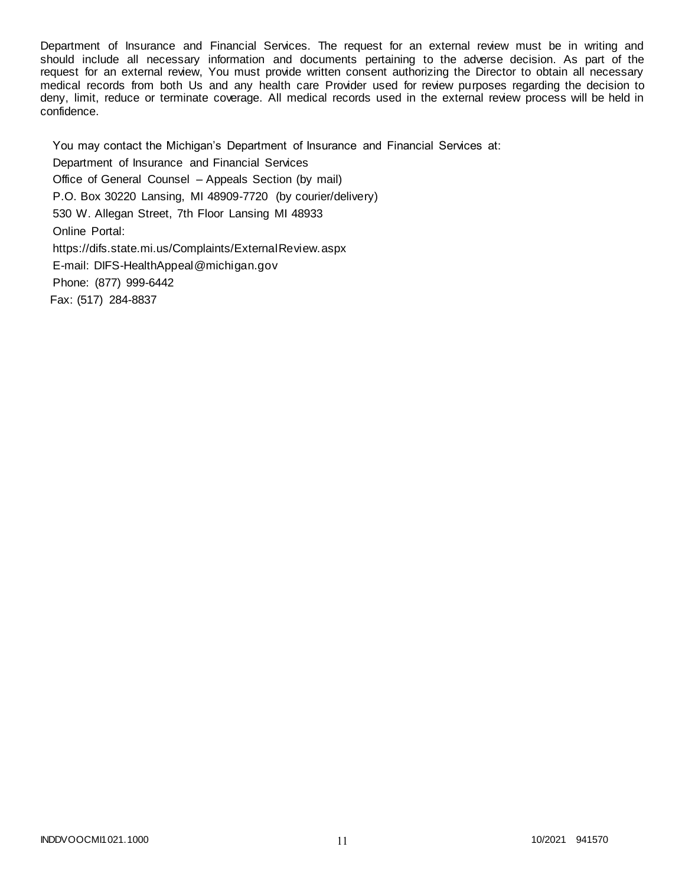Department of Insurance and Financial Services. The request for an external review must be in writing and should include all necessary information and documents pertaining to the adverse decision. As part of the request for an external review, You must provide written consent authorizing the Director to obtain all necessary medical records from both Us and any health care Provider used for review purposes regarding the decision to deny, limit, reduce or terminate coverage. All medical records used in the external review process will be held in confidence.

You may contact the Michigan's Department of Insurance and Financial Services at: Department of Insurance and Financial Services Office of General Counsel – Appeals Section (by mail) P.O. Box 30220 Lansing, MI 48909-7720 (by courier/delivery) 530 W. Allegan Street, 7th Floor Lansing MI 48933 Online Portal: https://difs.state.mi.us/Complaints/ExternalReview.aspx E-mail: DIFS-HealthAppeal@michigan.gov Phone: (877) 999-6442 Fax: (517) 284-8837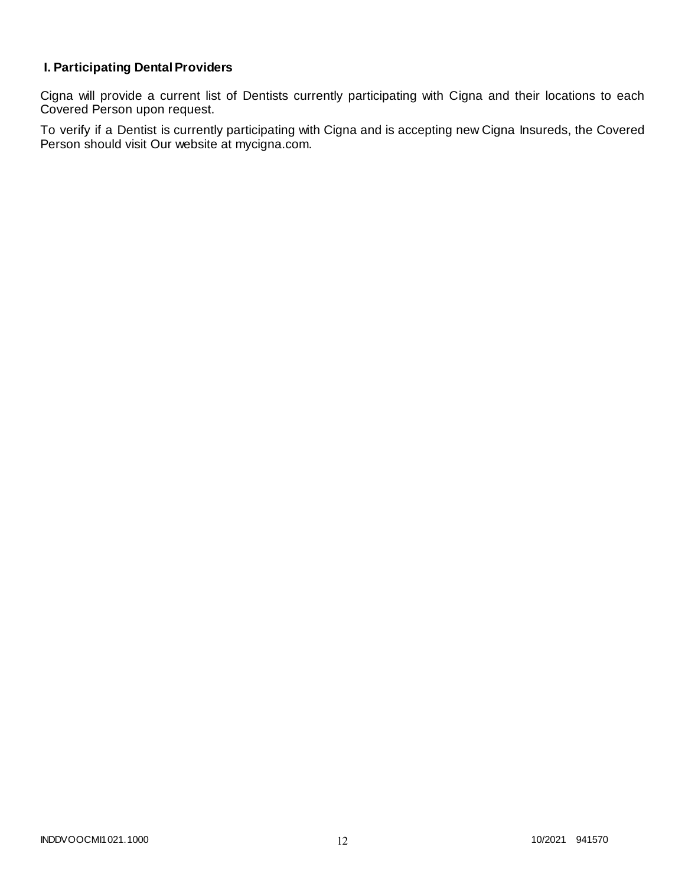# **I. Participating Dental Providers**

Cigna will provide a current list of Dentists currently participating with Cigna and their locations to each Covered Person upon request.

To verify if a Dentist is currently participating with Cigna and is accepting new Cigna Insureds, the Covered Person should visit Our website at mycigna.com.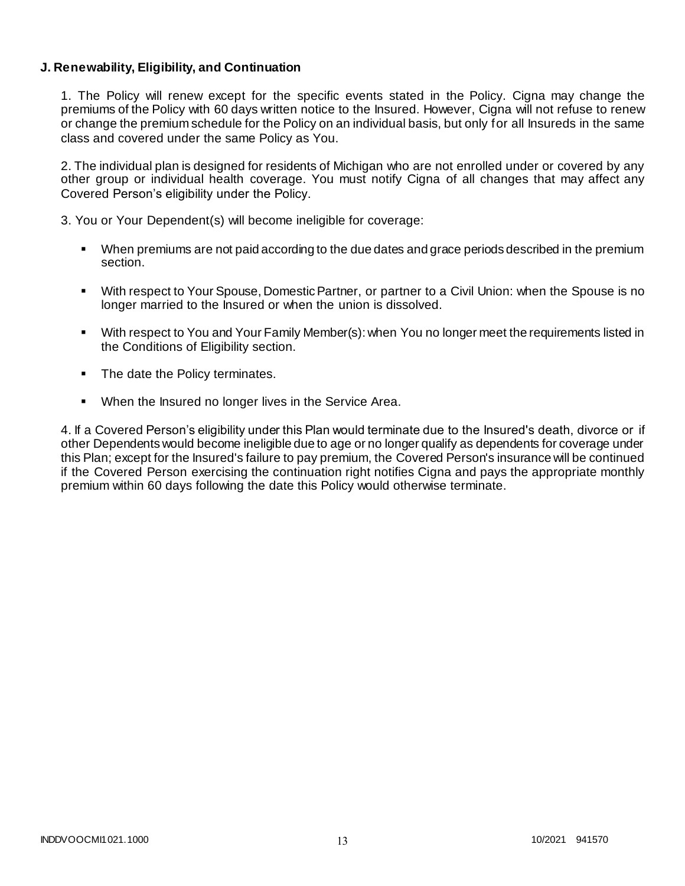### **J. Renewability, Eligibility, and Continuation**

1. The Policy will renew except for the specific events stated in the Policy. Cigna may change the premiums of the Policy with 60 days written notice to the Insured. However, Cigna will not refuse to renew or change the premium schedule for the Policy on an individual basis, but only for all Insureds in the same class and covered under the same Policy as You.

2. The individual plan is designed for residents of Michigan who are not enrolled under or covered by any other group or individual health coverage. You must notify Cigna of all changes that may affect any Covered Person's eligibility under the Policy.

3. You or Your Dependent(s) will become ineligible for coverage:

- When premiums are not paid according to the due dates and grace periods described in the premium section.
- With respect to Your Spouse, Domestic Partner, or partner to a Civil Union: when the Spouse is no longer married to the Insured or when the union is dissolved.
- With respect to You and Your Family Member(s): when You no longer meet the requirements listed in the Conditions of Eligibility section.
- The date the Policy terminates.
- When the Insured no longer lives in the Service Area.

4. If a Covered Person's eligibility under this Plan would terminate due to the Insured's death, divorce or if other Dependents would become ineligible due to age or no longer qualify as dependents for coverage under this Plan; except for the Insured's failure to pay premium, the Covered Person's insurance will be continued if the Covered Person exercising the continuation right notifies Cigna and pays the appropriate monthly premium within 60 days following the date this Policy would otherwise terminate.